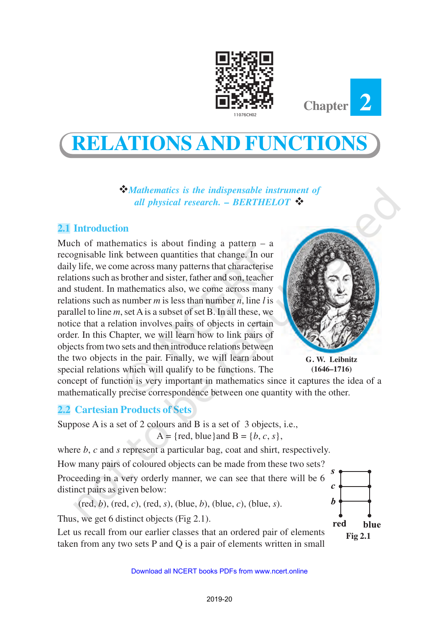



# **RELATIONS AND FUNCTIONS**

v*Mathematics is the indispensable instrument of all physical research. – BERTHELOT* ❖

# **2.1 Introduction**

Much of mathematics is about finding a pattern  $-$  a recognisable link between quantities that change. In our daily life, we come across many patterns that characterise relations such as brother and sister, father and son, teacher and student. In mathematics also, we come across many relations such as number *m* is less than number *n*, line *l* is parallel to line *m*, set A is a subset of set B. In all these, we notice that a relation involves pairs of objects in certain order. In this Chapter, we will learn how to link pairs of objects from two sets and then introduce relations between the two objects in the pair. Finally, we will learn about special relations which will qualify to be functions. The



**G. W. Leibnitz (1646–1716)**

concept of function is very important in mathematics since it captures the idea of a mathematically precise correspondence between one quantity with the other.

## **2.2 Cartesian Products of Sets**

Suppose A is a set of 2 colours and B is a set of 3 objects, i.e.,  $A = \{ red, blue\}$ and  $B = \{b, c, s\},\$ 

where *b*, *c* and *s* represent a particular bag, coat and shirt, respectively. How many pairs of coloured objects can be made from these two sets? Proceeding in a very orderly manner, we can see that there will be 6 distinct pairs as given below:

(red, *b*), (red, *c*), (red, *s*), (blue, *b*), (blue, *c*), (blue, *s*).

Thus, we get 6 distinct objects (Fig 2.1).

Let us recall from our earlier classes that an ordered pair of elements taken from any two sets P and Q is a pair of elements written in small

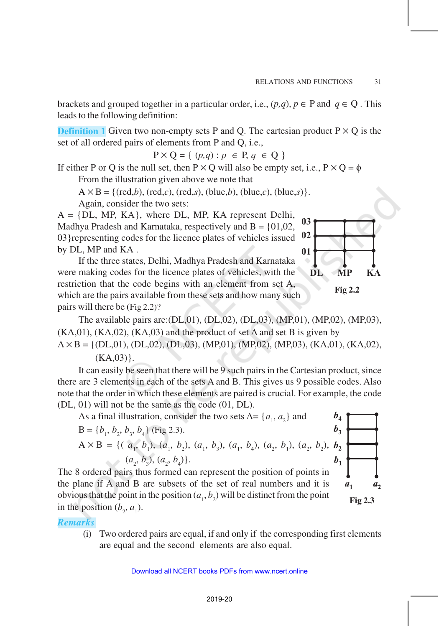brackets and grouped together in a particular order, i.e.,  $(p,q)$ ,  $p \in P$  and  $q \in Q$ . This leads to the following definition:

**Definition 1** Given two non-empty sets P and O. The cartesian product  $P \times Q$  is the set of all ordered pairs of elements from P and Q, i.e.,

 $P \times Q = \{ (p,q) : p \in P, q \in Q \}$ 

If either P or Q is the null set, then  $P \times Q$  will also be empty set, i.e.,  $P \times Q = \phi$ From the illustration given above we note that

 $A \times B = \{ (red,b), (red,c), (red,s), (blue,b), (blue,c), (blue,s) \}.$ 

Again, consider the two sets:

 $A = \{DL, MP, KA\}$ , where DL, MP, KA represent Delhi, Madhya Pradesh and Karnataka, respectively and  $B = \{01, 02, \ldots\}$ 03}representing codes for the licence plates of vehicles issued by DL, MP and KA .

If the three states, Delhi, Madhya Pradesh and Karnataka were making codes for the licence plates of vehicles, with the restriction that the code begins with an element from set A, which are the pairs available from these sets and how many such pairs will there be (Fig 2.2)?



 $b_4$  $b_3$ 

 $b_{1}$ 

 $a<sub>1</sub>$ 

**Fig 2.3**

 $a<sub>2</sub>$ 

The available pairs are:(DL,01), (DL,02), (DL,03), (MP,01), (MP,02), (MP,03),  $(KA,01)$ ,  $(KA,02)$ ,  $(KA,03)$  and the product of set A and set B is given by

 $A \times B = \{ (DL, 01), (DL, 02), (DL, 03), (MP, 01), (MP, 02), (MP, 03), (KA, 01), (KA, 02),$  $(KA, 03)$ .

It can easily be seen that there will be 9 such pairs in the Cartesian product, since there are 3 elements in each of the sets A and B. This gives us 9 possible codes. Also note that the order in which these elements are paired is crucial. For example, the code (DL, 01) will not be the same as the code (01, DL).

As a final illustration, consider the two sets  $A = \{a_1, a_2\}$  and

$$
B = \{b_1, b_2, b_3, b_4\}
$$
 (Fig 2.3).  
\n
$$
A \times B = \{(\ a_1, b_1), (a_1, b_2), (a_1, b_3), (a_1, b_4), (a_2, b_1), (a_2, b_2), b_2\}
$$
  
\n
$$
(a_2, b_3), (a_2, b_4)\}
$$

The 8 ordered pairs thus formed can represent the position of points in the plane if A and B are subsets of the set of real numbers and it is obvious that the point in the position  $(a_1, b_2)$  will be distinct from the point in the position  $(b_2, a_1)$ .

*Remarks*

(i) Two ordered pairs are equal, if and only if the corresponding first elements are equal and the second elements are also equal.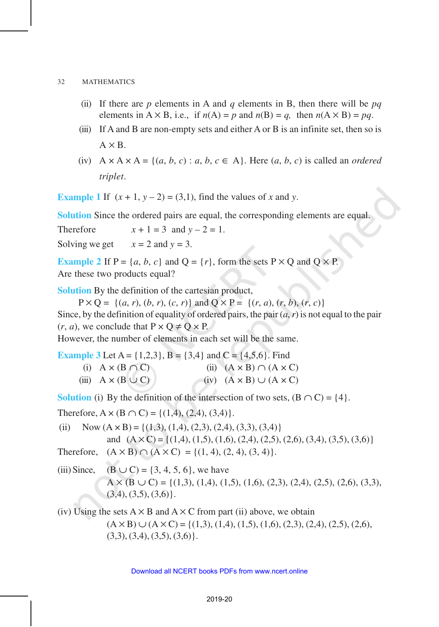- (ii) If there are *p* elements in A and *q* elements in B, then there will be *pq* elements in  $A \times B$ , i.e., if  $n(A) = p$  and  $n(B) = q$ , then  $n(A \times B) = pq$ .
- (iii) If A and B are non-empty sets and either A or B is an infinite set, then so is  $A \times B$ .
- (iv)  $A \times A \times A = \{(a, b, c) : a, b, c \in A\}$ . Here  $(a, b, c)$  is called an *ordered triplet*.

**Example 1** If  $(x + 1, y - 2) = (3,1)$ , find the values of *x* and *y*.

**Solution** Since the ordered pairs are equal, the corresponding elements are equal.

Therefore  $x + 1 = 3$  and  $y - 2 = 1$ . Solving we get  $x = 2$  and  $y = 3$ .

**Example 2** If  $P = \{a, b, c\}$  and  $Q = \{r\}$ , form the sets  $P \times Q$  and  $Q \times P$ . Are these two products equal?

**Solution** By the definition of the cartesian product,

 $P \times Q = \{(a, r), (b, r), (c, r)\}\$  and  $Q \times P = \{(r, a), (r, b), (r, c)\}\$ Since, by the definition of equality of ordered pairs, the pair  $(a, r)$  is not equal to the pair  $(r, a)$ , we conclude that  $P \times Q \neq Q \times P$ .

However, the number of elements in each set will be the same.

**Example 3** Let A =  $\{1,2,3\}$ , B =  $\{3,4\}$  and C =  $\{4,5,6\}$ . Find (i)  $A \times (B \cap C)$  (ii)  $(A \times B) \cap (A \times C)$ (iii)  $A \times (B \cup C)$  (iv)  $(A \times B) \cup (A \times C)$ 

**Solution** (i) By the definition of the intersection of two sets,  $(B \cap C) = \{4\}$ .

Therefore,  $A \times (B \cap C) = \{(1,4), (2,4), (3,4)\}.$ 

(ii) Now  $(A \times B) = \{(1,3), (1,4), (2,3), (2,4), (3,3), (3,4)\}\$ and  $(A \times C) = \{(1,4), (1,5), (1,6), (2,4), (2,5), (2,6), (3,4), (3,5), (3,6)\}\$ Therefore,  $(A \times B) \cap (A \times C) = \{(1, 4), (2, 4), (3, 4)\}.$ 

(iii) Since,  $(B \cup C) = \{3, 4, 5, 6\}$ , we have  $A \times (B \cup C) = \{(1,3), (1,4), (1,5), (1,6), (2,3), (2,4), (2,5), (2,6), (3,3),\}$  $(3,4)$ ,  $(3,5)$ ,  $(3,6)$ .

(iv) Using the sets  $A \times B$  and  $A \times C$  from part (ii) above, we obtain  $(A \times B) \cup (A \times C) = \{(1,3), (1,4), (1,5), (1,6), (2,3), (2,4), (2,5), (2,6),$  $(3,3), (3,4), (3,5), (3,6)$ .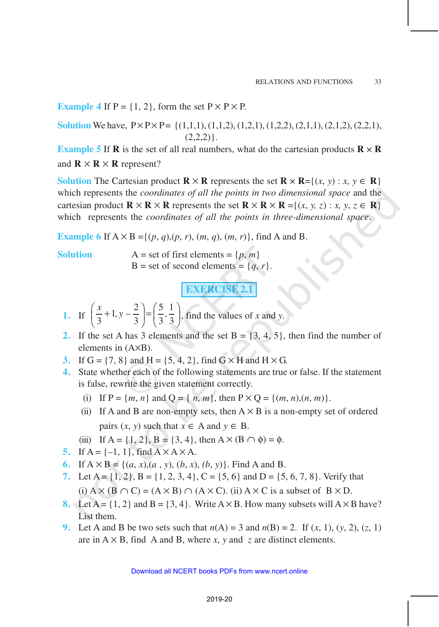**Example 4** If  $P = \{1, 2\}$ , form the set  $P \times P \times P$ .

**Solution** We have,  $P \times P \times P = \{(1,1,1), (1,1,2), (1,2,1), (1,2,2), (2,1,1), (2,1,2), (2,2,1),\}$  $(2,2,2)$ .

**Example 5** If **R** is the set of all real numbers, what do the cartesian products  $\mathbf{R} \times \mathbf{R}$ and  $\mathbf{R} \times \mathbf{R} \times \mathbf{R}$  represent?

**Solution** The Cartesian product  $\mathbf{R} \times \mathbf{R}$  represents the set  $\mathbf{R} \times \mathbf{R} = \{(x, y) : x, y \in \mathbf{R}\}\)$ which represents the *coordinates of all the points in two dimensional space* and the cartesian product  $\mathbf{R} \times \mathbf{R} \times \mathbf{R}$  represents the set  $\mathbf{R} \times \mathbf{R} \times \mathbf{R} = \{(x, y, z) : x, y, z \in \mathbf{R}\}\)$ which represents the *coordinates of all the points in three-dimensional space*.

**Example 6** If  $A \times B = \{(p, q), (p, r), (m, q), (m, r)\}\)$ , find A and B.

**Solution**  $A = set of first elements = {p, m}$ B = set of second elements =  $\{q, r\}.$ 

**EXERCISE 2.1** 

1. If 
$$
\left(\frac{x}{3}+1, y-\frac{2}{3}\right) = \left(\frac{5}{3}, \frac{1}{3}\right)
$$
, find the values of x and y.

- **2.** If the set A has 3 elements and the set  $B = \{3, 4, 5\}$ , then find the number of elements in (A×B).
- **3.** If  $G = \{7, 8\}$  and  $H = \{5, 4, 2\}$ , find  $G \times H$  and  $H \times G$ .
- **4.** State whether each of the following statements are true or false. If the statement is false, rewrite the given statement correctly.
	- (i) If  $P = \{m, n\}$  and  $Q = \{n, m\}$ , then  $P \times Q = \{(m, n), (n, m)\}.$
	- (ii) If A and B are non-empty sets, then  $A \times B$  is a non-empty set of ordered pairs  $(x, y)$  such that  $x \in A$  and  $y \in B$ .
	- (iii) If A = {1, 2}, B = {3, 4}, then A  $\times$  (B  $\cap$   $\phi$ ) =  $\phi$ .
- **5.** If  $A = \{-1, 1\}$ , find  $A \times A \times A$ .
- **6.** If  $A \times B = \{(a, x), (a, y), (b, x), (b, y)\}$ . Find A and B.
- **7.** Let  $A = \{1, 2\}$ ,  $B = \{1, 2, 3, 4\}$ ,  $C = \{5, 6\}$  and  $D = \{5, 6, 7, 8\}$ . Verify that (i)  $A \times (B \cap C) = (A \times B) \cap (A \times C)$ . (ii)  $A \times C$  is a subset of  $B \times D$ .
- **8.** Let  $A = \{1, 2\}$  and  $B = \{3, 4\}$ . Write  $A \times B$ . How many subsets will  $A \times B$  have? List them.
- **9.** Let A and B be two sets such that  $n(A) = 3$  and  $n(B) = 2$ . If  $(x, 1)$ ,  $(y, 2)$ ,  $(z, 1)$ are in  $A \times B$ , find A and B, where *x*, *y* and *z* are distinct elements.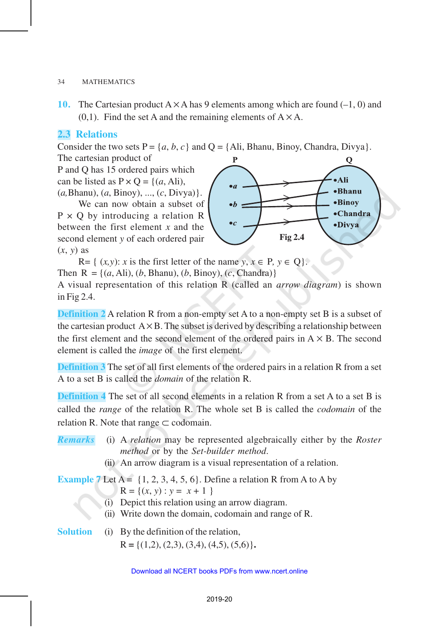**10.** The Cartesian product  $A \times A$  has 9 elements among which are found  $(-1, 0)$  and  $(0,1)$ . Find the set A and the remaining elements of  $A \times A$ .

# **2.3 Relations**

Consider the two sets  $P = \{a, b, c\}$  and  $Q = \{A\}$ , Bhanu, Binoy, Chandra, Divya}.

The cartesian product of

P and Q has 15 ordered pairs which can be listed as  $P \times Q = \{(a, Ali),\}$ (*a,*Bhanu), (*a*, Binoy), ..., (*c*, Divya)}.

We can now obtain a subset of  $P \times Q$  by introducing a relation R between the first element *x* and the second element *y* of each ordered pair (*x*, *y*) as



R= {  $(x, y)$ : *x* is the first letter of the name  $y, x \in P$ ,  $y \in Q$ }. Then  $R = \{(a, Ali), (b, Bhanu), (b, Binoy), (c, Chandra)\}\$ A visual representation of this relation R (called an *arrow diagram*) is shown in Fig 2.4.

**Definition 2** A relation R from a non-empty set A to a non-empty set B is a subset of the cartesian product  $A \times B$ . The subset is derived by describing a relationship between the first element and the second element of the ordered pairs in  $A \times B$ . The second element is called the *image* of the first element.

**Definition 3** The set of all first elements of the ordered pairs in a relation R from a set A to a set B is called the *domain* of the relation R.

**Definition 4** The set of all second elements in a relation R from a set A to a set B is called the *range* of the relation R. The whole set B is called the *codomain* of the relation R. Note that range  $\subset$  codomain.

- *Remarks* (i) A *relation* may be represented algebraically either by the *Roster method* or by the *Set-builder method*.
	- (ii) An arrow diagram is a visual representation of a relation.

**Example 7** Let  $A = \{1, 2, 3, 4, 5, 6\}$ . Define a relation R from A to A by  $R = \{(x, y) : y = x + 1\}$ 

- (i) Depict this relation using an arrow diagram.
- (ii) Write down the domain, codomain and range of R.

**Solution** (i) By the definition of the relation,  $R = \{(1,2), (2,3), (3,4), (4,5), (5,6)\}.$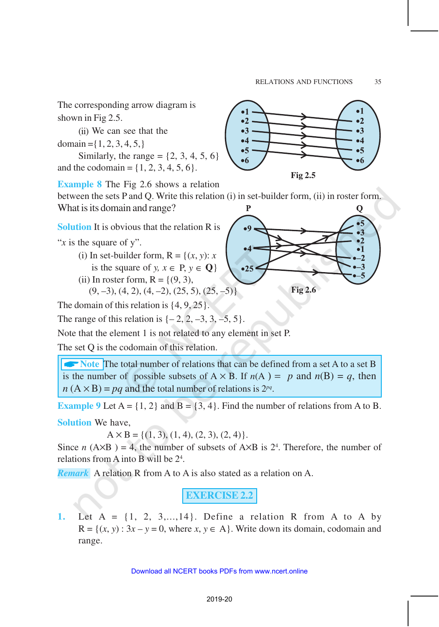The corresponding arrow diagram is shown in Fig 2.5.

(ii) We can see that the domain =  $\{1, 2, 3, 4, 5, \}$ 

Similarly, the range  $= \{2, 3, 4, 5, 6\}$ 

and the codomain =  $\{1, 2, 3, 4, 5, 6\}.$ 

**Example 8** The Fig 2.6 shows a relation between the sets P and Q. Write this relation (i) in set-builder form, (ii) in roster form. What is its domain and range?

**Solution** It is obvious that the relation R is

"*x* is the square of y".

- (i) In set-builder form,  $R = \{(x, y): x\}$ is the square of *y*,  $x \in P$ ,  $y \in Q$ }
- (ii) In roster form,  $R = \{(9, 3),\}$

$$
(9, -3), (4, 2), (4, -2), (25, 5), (25, -5)
$$

The domain of this relation is  $\{4, 9, 25\}.$ 

The range of this relation is  $\{-2, 2, -3, 3, -5, 5\}.$ 

Note that the element 1 is not related to any element in set P.

The set Q is the codomain of this relation.

**A** Note **The total number of relations that can be defined from a set A to a set B** is the number of possible subsets of  $A \times B$ . If  $n(A) = p$  and  $n(B) = q$ , then  $n(A \times B) = pq$  and the total number of relations is  $2^{pq}$ .

**Example 9** Let  $A = \{1, 2\}$  and  $B = \{3, 4\}$ . Find the number of relations from A to B.

**Solution** We have,

 $A \times B = \{(1, 3), (1, 4), (2, 3), (2, 4)\}.$ 

Since *n* ( $A \times B$ ) = 4, the number of subsets of  $A \times B$  is 2<sup>4</sup>. Therefore, the number of relations from A into B will be 2<sup>4</sup> .

*Remark* A relation R from A to A is also stated as a relation on A.

**EXERCISE 2.2**

**1.** Let  $A = \{1, 2, 3, \ldots, 14\}$ . Define a relation R from A to A by  $R = \{(x, y) : 3x - y = 0$ , where  $x, y \in A\}$ . Write down its domain, codomain and range.



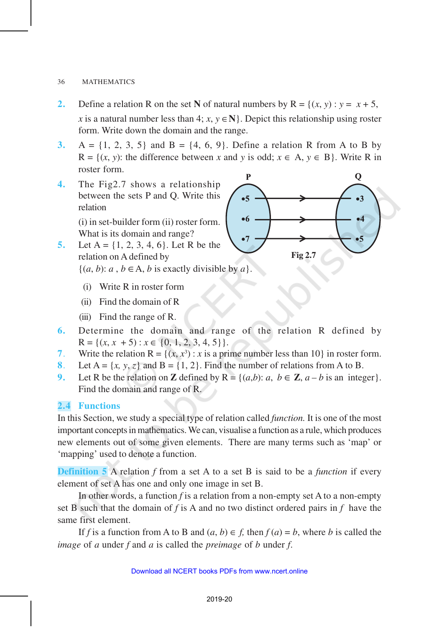### 36 MATHEMATICS

- **2.** Define a relation R on the set N of natural numbers by  $R = \{(x, y) : y = x + 5$ , *x* is a natural number less than 4; *x*,  $y \in \mathbb{N}$ . Depict this relationship using roster form. Write down the domain and the range.
- **3.** A =  $\{1, 2, 3, 5\}$  and B =  $\{4, 6, 9\}$ . Define a relation R from A to B by  $R = \{(x, y)$ : the difference between *x* and *y* is odd;  $x \in A$ ,  $y \in B$ . Write R in roster form.
- **4.** The Fig2.7 shows a relationship between the sets P and Q. Write this relation

(i) in set-builder form (ii) roster form. What is its domain and range?

- **5.** Let  $A = \{1, 2, 3, 4, 6\}$ . Let R be the relation on A defined by  $\{(a, b): a, b \in A, b \text{ is exactly divisible by } a\}.$ 
	- (i) Write R in roster form
	- (ii) Find the domain of R
	- (iii) Find the range of R.
- **6.** Determine the domain and range of the relation R defined by  $R = \{(x, x + 5) : x \in \{0, 1, 2, 3, 4, 5\}\}.$
- 7. Write the relation  $R = \{(x, x^3) : x \text{ is a prime number less than 10}\}$  in roster form.
- **8**. Let  $A = \{x, y, z\}$  and  $B = \{1, 2\}$ . Find the number of relations from A to B.
- **9.** Let R be the relation on **Z** defined by  $R = \{(a,b): a, b \in \mathbb{Z}, a b$  is an integer. Find the domain and range of R.

# **2.4 Functions**

In this Section, we study a special type of relation called *function.* It is one of the most important concepts in mathematics. We can, visualise a function as a rule, which produces new elements out of some given elements. There are many terms such as 'map' or 'mapping' used to denote a function.

**Definition 5** A relation *f* from a set A to a set B is said to be a *function* if every element of set A has one and only one image in set B.

In other words, a function *f* is a relation from a non-empty set A to a non-empty set B such that the domain of *f* is A and no two distinct ordered pairs in *f* have the same first element.

If *f* is a function from A to B and  $(a, b) \in f$ , then  $f(a) = b$ , where *b* is called the *image* of *a* under *f* and *a* is called the *preimage* of *b* under *f*.

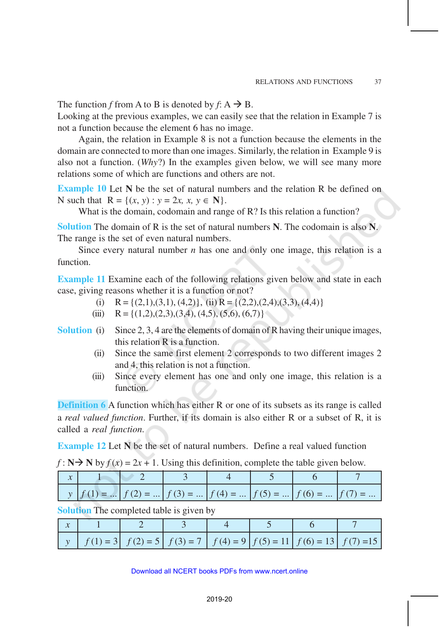The function *f* from A to B is denoted by  $f: A \rightarrow B$ .

Looking at the previous examples, we can easily see that the relation in Example 7 is not a function because the element 6 has no image.

Again, the relation in Example 8 is not a function because the elements in the domain are connected to more than one images. Similarly, the relation in Example 9 is also not a function. (*Why*?) In the examples given below, we will see many more relations some of which are functions and others are not.

**Example 10** Let N be the set of natural numbers and the relation R be defined on N such that  $R = \{(x, y) : y = 2x, x, y \in \mathbb{N}\}.$ 

What is the domain, codomain and range of R? Is this relation a function?

**Solution** The domain of R is the set of natural numbers **N**. The codomain is also **N**. The range is the set of even natural numbers.

Since every natural number *n* has one and only one image, this relation is a function.

**Example 11** Examine each of the following relations given below and state in each case, giving reasons whether it is a function or not?

- (i)  $R = \{(2,1),(3,1),(4,2)\},$  (ii)  $R = \{(2,2),(2,4),(3,3),(4,4)\}$
- (iii)  $R = \{(1,2),(2,3),(3,4),(4,5),(5,6),(6,7)\}\$
- **Solution** (i) Since 2, 3, 4 are the elements of domain of R having their unique images, this relation R is a function.
	- (ii) Since the same first element 2 corresponds to two different images 2 and 4, this relation is not a function.
	- (iii) Since every element has one and only one image, this relation is a function.

**Definition 6** A function which has either R or one of its subsets as its range is called a *real valued function*. Further, if its domain is also either R or a subset of R, it is called a *real function*.

**Example 12** Let **N** be the set of natural numbers. Define a real valued function

| $f: \mathbb{N} \rightarrow \mathbb{N}$ by $f(x) = 2x + 1$ . Using this definition, complete the table given below. |  |  |  |
|--------------------------------------------------------------------------------------------------------------------|--|--|--|
|--------------------------------------------------------------------------------------------------------------------|--|--|--|

|  |  |  | $y   f(1) =    f(2) =    f(3) =    f(4) =    f(5) =    f(6) =    f(7) = $ |  |
|--|--|--|---------------------------------------------------------------------------|--|

**Solution** The completed table is given by

|  |  |  | $\left  y \right  f(1) = 3 \left  f(2) = 5 \right  f(3) = 7 \left  f(4) = 9 \right  f(5) = 11 \left  f(6) = 13 \right  f(7) = 15$ |  |
|--|--|--|-----------------------------------------------------------------------------------------------------------------------------------|--|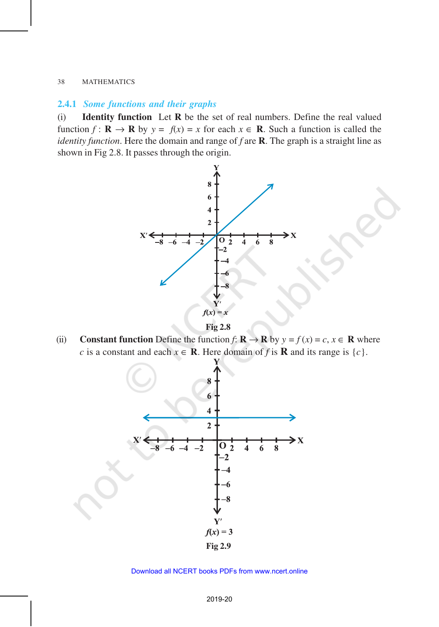#### 38 MATHEMATICS

## **2.4.1** *Some functions and their graphs*

(i) **Identity function** Let **R** be the set of real numbers. Define the real valued function  $f : \mathbf{R} \to \mathbf{R}$  by  $y = f(x) = x$  for each  $x \in \mathbf{R}$ . Such a function is called the *identity function*. Here the domain and range of *f* are **R**. The graph is a straight line as shown in Fig 2.8. It passes through the origin.



**Fig 2.8**

(ii) **Constant function** Define the function  $f: \mathbf{R} \to \mathbf{R}$  by  $y = f(x) = c, x \in \mathbf{R}$  where *c* is a constant and each  $x \in \mathbb{R}$ . Here domain of *f* is  $\mathbb{R}$  and its range is  $\{c\}$ .



#### Download all NCERT books PDFs from [www.ncert.online](http://www.ncert.online)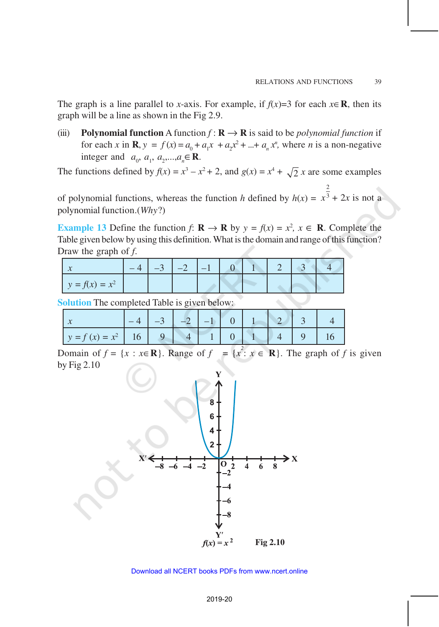2

The graph is a line parallel to *x*-axis. For example, if  $f(x)=3$  for each  $x \in \mathbb{R}$ , then its graph will be a line as shown in the Fig 2.9.

(iii) **Polynomial function** A function  $f : \mathbf{R} \to \mathbf{R}$  is said to be *polynomial function* if for each *x* in **R**,  $y = f(x) = a_0 + a_1x + a_2x^2 + ... + a_nx^n$ , where *n* is a non-negative integer and  $a_0, a_1, a_2, ..., a_n \in \mathbb{R}$ .

The functions defined by  $f(x) = x^3 - x^2 + 2$ , and  $g(x) = x^4 + \sqrt{2}x$  are some examples

of polynomial functions, whereas the function *h* defined by  $h(x) =$  $x^3 + 2x$  is not a polynomial function.(*Why*?)

**Example 13** Define the function *f*:  $\mathbf{R} \to \mathbf{R}$  by  $y = f(x) = x^2$ ,  $x \in \mathbf{R}$ . Complete the Table given below by using this definition. What is the domain and range of this function? Draw the graph of *f*.

|                  |  | $3 \mid -2 \mid -1 \rangle$ |  |  |  |
|------------------|--|-----------------------------|--|--|--|
| $y = f(x) = x^2$ |  |                             |  |  |  |

**Solution** The completed Table is given below:

|                           |  |  | $\Omega$ |  |  |
|---------------------------|--|--|----------|--|--|
| $y = f(x) = x^2$   16   9 |  |  |          |  |  |

Domain of  $f = \{x : x \in \mathbb{R}\}\)$ . Range of  $f = \{x^2 : x \in \mathbb{R}\}\)$ . The graph of f is given by Fig 2.10

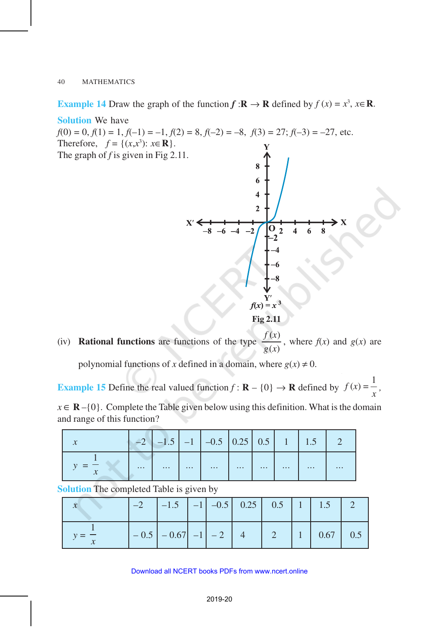**Example 14** Draw the graph of the function  $f : \mathbf{R} \to \mathbf{R}$  defined by  $f(x) = x^3$ ,  $x \in \mathbf{R}$ .

**Solution** We have  $f(0) = 0, f(1) = 1, f(-1) = -1, f(2) = 8, f(-2) = -8, f(3) = 27; f(-3) = -27$ , etc. Therefore,  $f = \{(x, x^3): x \in \mathbb{R}\}.$ The graph of *f* is given in Fig 2.11. 6  $\overline{\mathbf{4}}$  $\overline{2}$  $-2$  $\overline{2}$  $\overline{\mathbf{A}}$ 6 8  $f(x) = x^3$ 

**Fig 2.11**

(iv) **Rational functions** are functions of the type  $(x)$ *f x g x* , where  $f(x)$  and  $g(x)$  are

polynomial functions of *x* defined in a domain, where  $g(x) \neq 0$ .

**Example 15** Define the real valued function  $f : \mathbf{R} - \{0\} \to \mathbf{R}$  defined by  $f(x) = \frac{1}{x}$ *x ,*

 $x \in \mathbb{R} - \{0\}$ . Complete the Table given below using this definition. What is the domain and range of this function?

|                            |          |          |          | $-2$   $-1.5$   $-1$   $-0.5$   $0.25$   $0.5$   $1$   $1.5$ |          |          |          |          |          |
|----------------------------|----------|----------|----------|--------------------------------------------------------------|----------|----------|----------|----------|----------|
| $\boldsymbol{\mathcal{N}}$ | $\cdots$ | $\cdots$ | $\cdots$ |                                                              | $\cdots$ | $\cdots$ | $\cdots$ | $\cdots$ | $\cdots$ |

**Solution** The completed Table is given by

|  | $-0.5$ $-0.67$ $-1$ $-2$ $4$ |  |  | 2   1   0.67   0.5 |  |
|--|------------------------------|--|--|--------------------|--|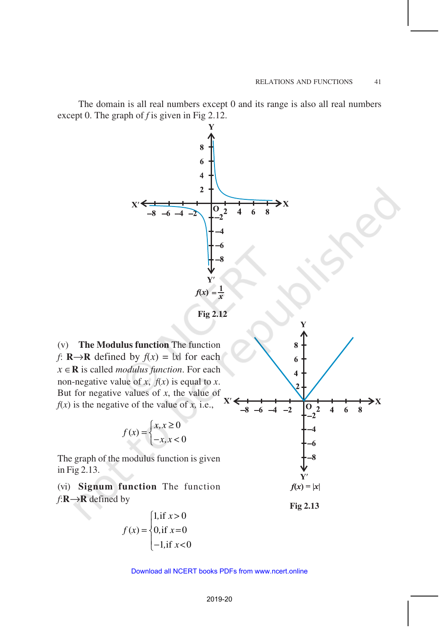The domain is all real numbers except 0 and its range is also all real numbers except 0. The graph of *f* is given in Fig 2.12.



**Fig 2.12**

(v) **The Modulus function** The function *f*: **R**→**R** defined by  $f(x) = |x|$  for each *x* ∈**R** is called *modulus function*. For each non-negative value of *x*,  $f(x)$  is equal to *x*. But for negative values of *x*, the value of  $f(x)$  is the negative of the value of *x*, i.e.,

$$
f(x) = \begin{cases} x, x \ge 0 \\ -x, x < 0 \end{cases}
$$

The graph of the modulus function is given in Fig 2.13.

(vi) **Signum function** The function *f*:**R**→**R** defined by

$$
f(x) = \begin{cases} 1, & \text{if } x > 0 \\ 0, & \text{if } x = 0 \\ -1, & \text{if } x < 0 \end{cases}
$$



#### 2019-20 Download all NCERT books PDFs from [www.ncert.online](http://www.ncert.online)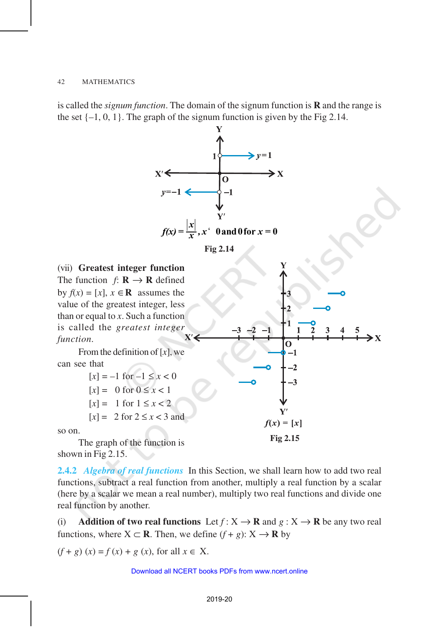is called the *signum function*. The domain of the signum function is **R** and the range is the set  $\{-1, 0, 1\}$ . The graph of the signum function is given by the Fig 2.14.



shown in Fig 2.15.

**2.4.2** *Algebra of real functions* In this Section, we shall learn how to add two real functions, subtract a real function from another, multiply a real function by a scalar (here by a scalar we mean a real number), multiply two real functions and divide one real function by another.

(i) **Addition of two real functions** Let  $f: X \to \mathbf{R}$  and  $g: X \to \mathbf{R}$  be any two real functions, where  $X \subset \mathbf{R}$ . Then, we define  $(f + g) \colon X \to \mathbf{R}$  by

 $(f + g)(x) = f(x) + g(x)$ , for all  $x \in X$ .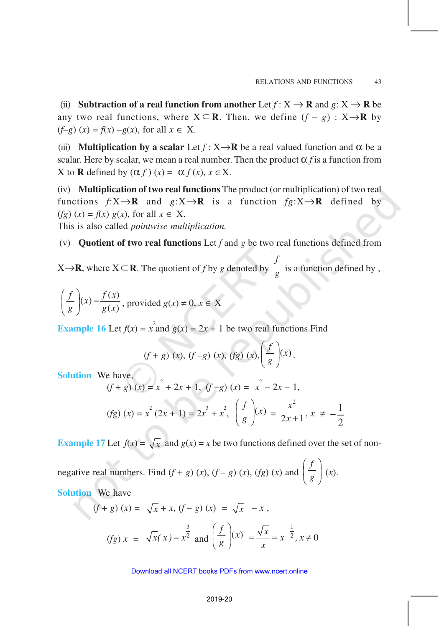(ii) **Subtraction of a real function from another** Let  $f: X \to \mathbf{R}$  and  $g: X \to \mathbf{R}$  be any two real functions, where  $X \subseteq \mathbb{R}$ . Then, we define  $(f - g) : X \rightarrow \mathbb{R}$  by (*f*–*g*) (*x*) = *f*(*x*) –*g*(*x*), for all *x* ∈ X.

(iii) **Multiplication by a scalar** Let  $f: X \rightarrow \mathbb{R}$  be a real valued function and  $\alpha$  be a scalar. Here by scalar, we mean a real number. Then the product  $\alpha$  *f* is a function from X to **R** defined by  $(\alpha f)(x) = \alpha f(x), x \in X$ .

(iv) **Multiplication of two real functions** The product (or multiplication) of two real functions  $f: X \to \mathbb{R}$  and  $g: X \to \mathbb{R}$  is a function  $fg: X \to \mathbb{R}$  defined by  $(fg)(x) = f(x) g(x)$ , for all  $x \in X$ . This is also called *pointwise multiplication.*

(v) **Quotient of two real functions** Let *f* and *g* be two real functions defined from

 $X\rightarrow R$ , where  $X\subseteq R$ . The quotient of *f* by *g* denoted by *f*  $\frac{1}{g}$  is a function defined by,

$$
\left(\frac{f}{g}\right)(x) = \frac{f(x)}{g(x)}, \text{ provided } g(x) \neq 0, x \in X
$$

**Example 16** Let  $f(x) = x^2$  and  $g(x) = 2x + 1$  be two real functions. Find

$$
(f+g)(x), (f-g)(x), (fg)(x), \left(\frac{f}{g}\right)(x).
$$

**Solution** We have,

$$
(f+g)(x) = x2 + 2x + 1, (f-g)(x) = x2 - 2x - 1,
$$
  
(fg)  $(x) = x2 (2x + 1) = 2x3 + x2, \left(\frac{f}{g}\right)(x) = \frac{x2}{2x + 1}, x \neq -\frac{1}{2}$ 

**Example 17** Let  $f(x) = \sqrt{x}$  and  $g(x) = x$  be two functions defined over the set of non-

negative real numbers. Find  $(f + g)(x)$ ,  $(f - g)(x)$ ,  $(fg)(x)$  and *f*  $\left(\frac{f}{g}\right)(x).$ 

**Solution** We have

$$
(f+g)(x) = \sqrt{x} + x, (f-g)(x) = \sqrt{x} - x,
$$
  

$$
(fg) x = \sqrt{x(x)} = x^{\frac{3}{2}} \text{ and } \left(\frac{f}{g}\right)(x) = \frac{\sqrt{x}}{x} = x^{-\frac{1}{2}}, x \neq 0
$$

#### Download all NCERT books PDFs from [www.ncert.online](http://www.ncert.online)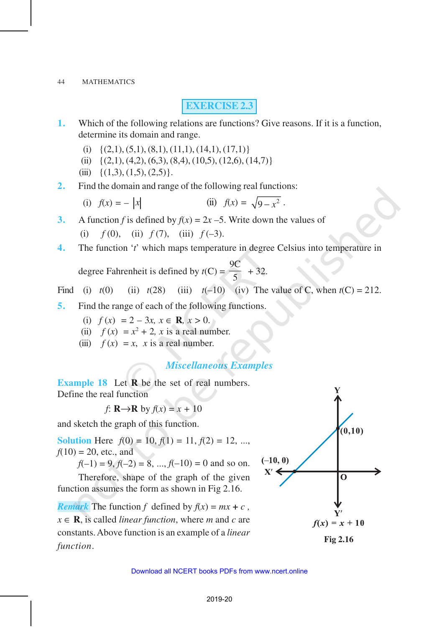## **EXERCISE 2.3**

- **1.** Which of the following relations are functions? Give reasons. If it is a function, determine its domain and range.
	- (i)  $\{(2,1), (5,1), (8,1), (11,1), (14,1), (17,1)\}$
	- (ii)  $\{(2,1), (4,2), (6,3), (8,4), (10,5), (12,6), (14,7)\}\$
	- (iii)  $\{(1,3), (1,5), (2,5)\}.$
- **2.** Find the domain and range of the following real functions:
	- (i)  $f(x) = |x|$  (ii)  $f(x) = \sqrt{9-x^2}$ .
- **3.** A function *f* is defined by  $f(x) = 2x 5$ . Write down the values of

(i)  $f(0)$ , (ii)  $f(7)$ , (iii)  $f(-3)$ .

**4.** The function '*t*' which maps temperature in degree Celsius into temperature in

degree Fahrenheit is defined by  $t(C) =$ 9C  $\frac{1}{5}$  + 32.

Find (i)  $t(0)$  (ii)  $t(28)$  (iii)  $t(-10)$  (iv) The value of C, when  $t(C) = 212$ .

- **5.** Find the range of each of the following functions.
	- (i)  $f(x) = 2 3x, x \in \mathbb{R}, x > 0.$
	- (ii)  $f(x) = x^2 + 2$ , *x* is a real number.
	- (iii)  $f(x) = x$ , *x* is a real number.

## *Miscellaneous Examples*

**Example 18** Let **R** be the set of real numbers. Define the real function

*f*: **R** $\rightarrow$ **R** by  $f(x) = x + 10$ 

and sketch the graph of this function.

**Solution** Here  $f(0) = 10, f(1) = 11, f(2) = 12, ...$  $f(10) = 20$ , etc., and

 $f(-1) = 9, f(-2) = 8, ..., f(-10) = 0$  and so on.

Therefore, shape of the graph of the given function assumes the form as shown in Fig 2.16.

*Remark* The function *f* defined by  $f(x) = mx + c$ ,  $x \in \mathbf{R}$ , is called *linear function*, where *m* and *c* are constants. Above function is an example of a *linear function*.



**Fig 2.16**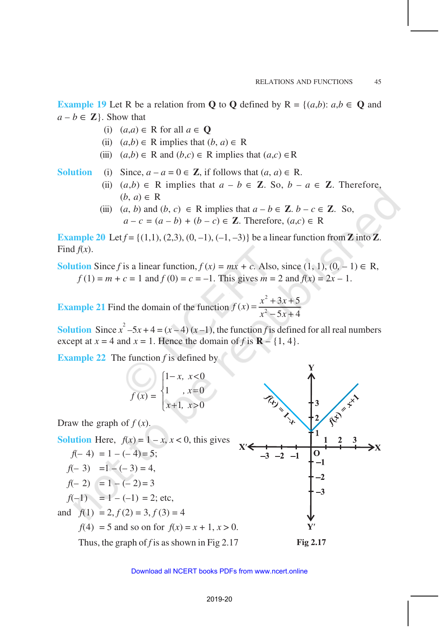**Example 19** Let R be a relation from **Q** to **Q** defined by  $R = \{(a,b): a,b \in \mathbf{Q} \text{ and } a\}$  $a - b \in \mathbb{Z}$ . Show that

- (i) (*a*,*a*) ∈ R for all *a* ∈ **Q**
- (ii)  $(a,b) \in R$  implies that  $(b, a) \in R$
- (iii)  $(a,b) \in \mathbb{R}$  and  $(b,c) \in \mathbb{R}$  implies that  $(a,c) \in \mathbb{R}$

**Solution** (i) Since,  $a - a = 0 \in \mathbb{Z}$ , if follows that  $(a, a) \in \mathbb{R}$ .

- (ii)  $(a,b) \in \mathbb{R}$  implies that  $a b \in \mathbb{Z}$ . So,  $b a \in \mathbb{Z}$ . Therefore,  $(b, a) \in R$
- (iii)  $(a, b)$  and  $(b, c) \in \mathbb{R}$  implies that  $a b \in \mathbb{Z}$ .  $b c \in \mathbb{Z}$ . So, *a* − *c* =  $(a - b) + (b - c) \in \mathbb{Z}$ . Therefore,  $(a, c) \in \mathbb{R}$

**Example 20** Let  $f = \{(1,1), (2,3), (0,-1), (-1,-3)\}$  be a linear function from **Z** into **Z**. Find  $f(x)$ .

**Solution** Since *f* is a linear function,  $f(x) = mx + c$ . Also, since  $(1, 1), (0, -1) \in \mathbb{R}$ ,  $f(1) = m + c = 1$  and  $f(0) = c = -1$ . This gives  $m = 2$  and  $f(x) = 2x - 1$ .

**Example 21** Find the domain of the function 2  $f(x) = \frac{x^2 + 3x + 5}{x^2 - 5x + 4}$  $5x + 4$  $f(x) = \frac{x^2 + 3x}{2}$  $x^2 - 5x$  $=\frac{x^2+3x+2}{2}$  $-5x+$ 

**Solution** Since  $x^2 - 5x + 4 = (x - 4)(x - 1)$ , the function *f* is defined for all real numbers except at  $x = 4$  and  $x = 1$ . Hence the domain of f is  $\mathbf{R} - \{1, 4\}$ .

**Example 22** The function *f* is defined by

$$
f(x) = \begin{cases} 1-x, & x < 0 \\ 1, & x = 0 \\ x+1, & x > 0 \end{cases}
$$

Draw the graph of  $f(x)$ .

**Solution** Here,  $f(x) = 1 - x$ ,  $x < 0$ , this gives

$$
f(-4) = 1 - (-4) = 5;
$$
  

$$
f(-3) = 1 - (-3) = 4,
$$

$$
f(-2) = 1 - (-2) = 3
$$

 $f(-1) = 1 - (-1) = 2$ ; etc,

and 
$$
f(1) = 2, f(2) = 3, f(3) = 4
$$

*f*(4) = 5 and so on for  $f(x) = x + 1, x > 0$ .

Thus, the graph of *f* is as shown in Fig 2.17 **Fig 2.17** 

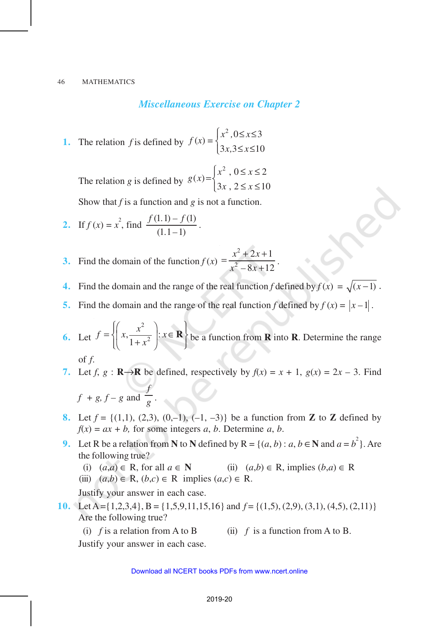*Miscellaneous Exercise on Chapter 2*

**1.** The relation *f* is defined by  $f(x) = \begin{cases} x^2, & 0 \le x \le 3 \\ 0, & x > 3 \end{cases}$  $3x, 3 \le x \le 10$  $f(x) = \begin{cases} x^2, & 0 \le x \\ 0, & x \le 0 \end{cases}$  $x, 3 \leq x$  $\begin{cases} x^2, & 0 \leq x \leq \\ 2, & 0 \leq x \leq x \end{cases}$  $\left(3x, 3 \leq x \leq \right)$ 

The relation *g* is defined by  $(x) = \begin{cases} x^2, & 0 \le x \le 2 \\ 0, & \text{otherwise} \end{cases}$  $3x$ ,  $2 \le x \le 10$  $g(x) = \begin{cases} x^2, & 0 \leq x \\ 0, & x \leq x \end{cases}$  $x, 2 \leq x$  $x^2$ ,  $0 \le x \le$  $=\}$  $\left(3x, 2 \leq x \leq \right)$ 

Show that *f* is a function and *g* is not a function.

2. If 
$$
f(x) = x^2
$$
, find  $\frac{f(1,1) - f(1)}{(1,1-1)}$ .

- **3.** Find the domain of the function  $f(x)$ 2 2  $2x + 1$  $8x + 12$  $x^2 + 2x$  $x^2 - 8x$  $=\frac{x^2+2x+2}{2}$  $\frac{1}{+12}$ .
- **4.** Find the domain and the range of the real function *f* defined by  $f(x) = \sqrt{x-1}$ .
- **5.** Find the domain and the range of the real function *f* defined by  $f(x) = |x-1|$ .

**6.** Let 2  $\frac{x}{1+x^2}$ : 1  $f = \left\{ \left( x, \frac{x^2}{x^2} \right) : x \right\}$ *x*  $\left[\begin{pmatrix} x^2 \\ y \end{pmatrix}, x \in \mathbf{R} \right]$  $=\left\{\mid x,\frac{x}{1\cdot 2}\mid :x\in\mathbf{R}\right\}$  $\left(\begin{array}{c} 1 + x^2 \end{array}\right)$  $\mathbf{R}$  be a function from **R** into **R**. Determine the range of *f*.

- **7.** Let  $f$ ,  $g : \mathbf{R} \to \mathbf{R}$  be defined, respectively by  $f(x) = x + 1$ ,  $g(x) = 2x 3$ . Find  $f + g$ ,  $f - g$  and *f g* .
- **8.** Let  $f = \{(1,1), (2,3), (0,-1), (-1,-3)\}$  be a function from **Z** to **Z** defined by  $f(x) = ax + b$ , for some integers *a*, *b*. Determine *a*, *b*.
- **9.** Let R be a relation from N to N defined by  $R = \{(a, b) : a, b \in \mathbb{N} \text{ and } a = b^2\}$ . Are the following true?
	- (i)  $(a,a) \in \mathbb{R}$ , for all  $a \in \mathbb{N}$  (ii)  $(a,b) \in \mathbb{R}$ , implies  $(b,a) \in \mathbb{R}$
	- (iii)  $(a,b) \in \mathbb{R}$ ,  $(b,c) \in \mathbb{R}$  implies  $(a,c) \in \mathbb{R}$ .

Justify your answer in each case.

- **10.** Let A = {1,2,3,4}, B = {1,5,9,11,15,16} and  $f =$  {(1,5), (2,9), (3,1), (4,5), (2,11)} Are the following true?
	- (i)  $f$  is a relation from A to B (ii)  $f$  is a function from A to B.

Justify your answer in each case.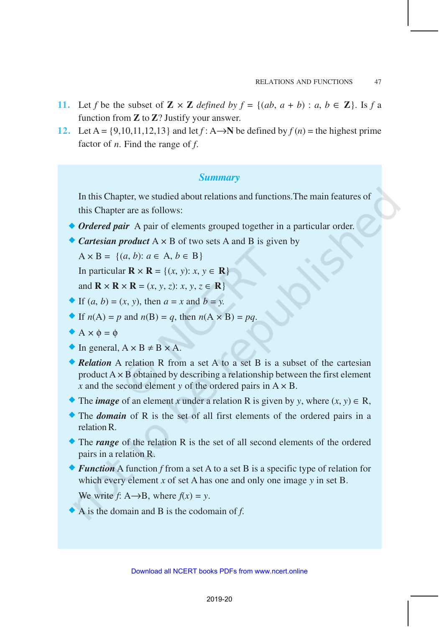- **11.** Let *f* be the subset of  $\mathbb{Z} \times \mathbb{Z}$  defined by  $f = \{(ab, a + b) : a, b \in \mathbb{Z}\}$ . Is *f* a function from **Z** to **Z**? Justify your answer.
- **12.** Let A = {9,10,11,12,13} and let  $f: A \rightarrow N$  be defined by  $f(n)$  = the highest prime factor of *n*. Find the range of *f*.

## *Summary*

In this Chapter, we studied about relations and functions.The main features of this Chapter are as follows:

- ◆ *Ordered pair* A pair of elements grouped together in a particular order.
- $\bullet$  *Cartesian product*  $A \times B$  of two sets A and B is given by

 $A \times B = \{(a, b): a \in A, b \in B\}$ 

In particular  $\mathbf{R} \times \mathbf{R} = \{(x, y): x, y \in \mathbf{R}\}\)$ 

and  $\mathbf{R} \times \mathbf{R} \times \mathbf{R} = (x, y, z): x, y, z \in \mathbf{R}$ 

- $\blacktriangleright$  If  $(a, b) = (x, y)$ , then  $a = x$  and  $b = y$ .
- If  $n(A) = p$  and  $n(B) = q$ , then  $n(A \times B) = pq$ .
- $\blacklozenge$  A  $\times$   $\phi$  =  $\phi$
- $\bullet$  In general,  $A \times B \neq B \times A$ .
- ® *Relation* A relation R from a set A to a set B is a subset of the cartesian product  $A \times B$  obtained by describing a relationship between the first element *x* and the second element *y* of the ordered pairs in  $A \times B$ .
- **●** The *image* of an element *x* under a relation R is given by *y*, where  $(x, y) \in R$ ,
- ® The *domain* of R is the set of all first elements of the ordered pairs in a relation R.
- ® The *range* of the relation R is the set of all second elements of the ordered pairs in a relation R.
- ® *Function* A function *f* from a set A to a set B is a specific type of relation for which every element *x* of set A has one and only one image *y* in set B.

We write  $f: A \rightarrow B$ , where  $f(x) = y$ .

® A is the domain and B is the codomain of *f*.